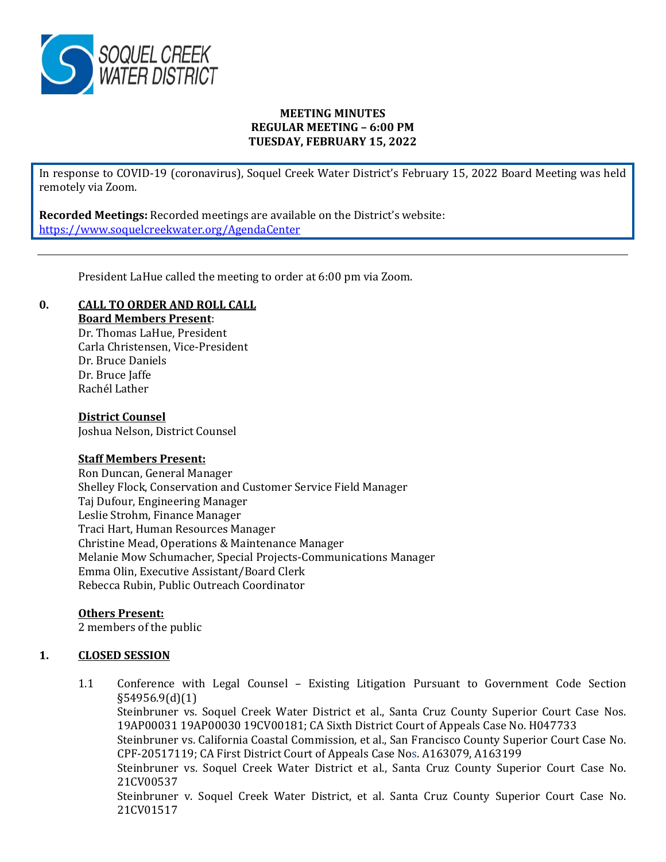

# **MEETING MINUTES REGULAR MEETING – 6:00 PM TUESDAY, FEBRUARY 15, 2022**

In response to COVID-19 (coronavirus), Soquel Creek Water District's February 15, 2022 Board Meeting was held remotely via Zoom.

**Recorded Meetings:** Recorded meetings are available on the District's website: <https://www.soquelcreekwater.org/AgendaCenter>

President LaHue called the meeting to order at 6:00 pm via Zoom.

# **0. CALL TO ORDER AND ROLL CALL**

**Board Members Present**:

Dr. Thomas LaHue, President Carla Christensen, Vice-President Dr. Bruce Daniels Dr. Bruce Jaffe Rachél Lather

## **District Counsel**

Joshua Nelson, District Counsel

## **Staff Members Present:**

Ron Duncan, General Manager Shelley Flock, Conservation and Customer Service Field Manager Taj Dufour, Engineering Manager Leslie Strohm, Finance Manager Traci Hart, Human Resources Manager Christine Mead, Operations & Maintenance Manager Melanie Mow Schumacher, Special Projects-Communications Manager Emma Olin, Executive Assistant/Board Clerk Rebecca Rubin, Public Outreach Coordinator

# **Others Present:**

2 members of the public

# **1. CLOSED SESSION**

1.1 Conference with Legal Counsel – Existing Litigation Pursuant to Government Code Section §54956.9(d)(1) Steinbruner vs. Soquel Creek Water District et al., Santa Cruz County Superior Court Case Nos. 19AP00031 19AP00030 19CV00181; CA Sixth District Court of Appeals Case No. H047733 Steinbruner vs. California Coastal Commission, et al., San Francisco County Superior Court Case No. CPF-20517119; CA First District Court of Appeals Case Nos. A163079, A163199 Steinbruner vs. Soquel Creek Water District et al., Santa Cruz County Superior Court Case No. 21CV00537 Steinbruner v. Soquel Creek Water District, et al. Santa Cruz County Superior Court Case No. 21CV01517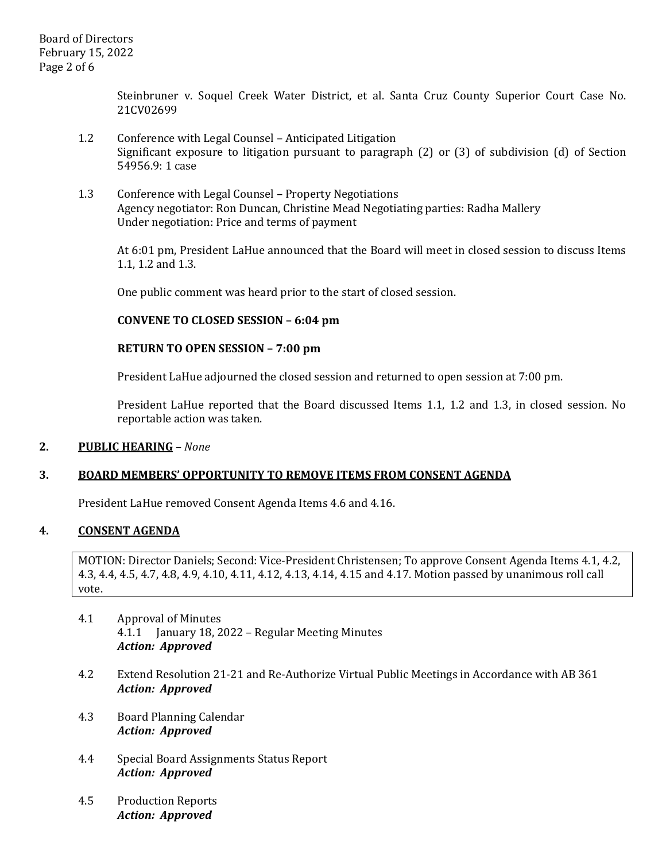Steinbruner v. Soquel Creek Water District, et al. Santa Cruz County Superior Court Case No. 21CV02699

- 1.2 Conference with Legal Counsel Anticipated Litigation Significant exposure to litigation pursuant to paragraph (2) or (3) of subdivision (d) of Section 54956.9: 1 case
- 1.3 Conference with Legal Counsel Property Negotiations Agency negotiator: Ron Duncan, Christine Mead Negotiating parties: Radha Mallery Under negotiation: Price and terms of payment

At 6:01 pm, President LaHue announced that the Board will meet in closed session to discuss Items 1.1, 1.2 and 1.3.

One public comment was heard prior to the start of closed session.

## **CONVENE TO CLOSED SESSION – 6:04 pm**

#### **RETURN TO OPEN SESSION – 7:00 pm**

President LaHue adjourned the closed session and returned to open session at 7:00 pm.

President LaHue reported that the Board discussed Items 1.1, 1.2 and 1.3, in closed session. No reportable action was taken.

#### **2. PUBLIC HEARING** *– None*

## **3. BOARD MEMBERS' OPPORTUNITY TO REMOVE ITEMS FROM CONSENT AGENDA**

President LaHue removed Consent Agenda Items 4.6 and 4.16.

#### **4. CONSENT AGENDA**

MOTION: Director Daniels; Second: Vice-President Christensen; To approve Consent Agenda Items 4.1, 4.2, 4.3, 4.4, 4.5, 4.7, 4.8, 4.9, 4.10, 4.11, 4.12, 4.13, 4.14, 4.15 and 4.17. Motion passed by unanimous roll call vote.

- 4.1 Approval of Minutes 4.1.1 January 18, 2022 – Regular Meeting Minutes *Action: Approved*
- 4.2 Extend Resolution 21-21 and Re-Authorize Virtual Public Meetings in Accordance with AB 361 *Action: Approved*
- 4.3 Board Planning Calendar *Action: Approved*
- 4.4 Special Board Assignments Status Report *Action: Approved*
- 4.5 Production Reports *Action: Approved*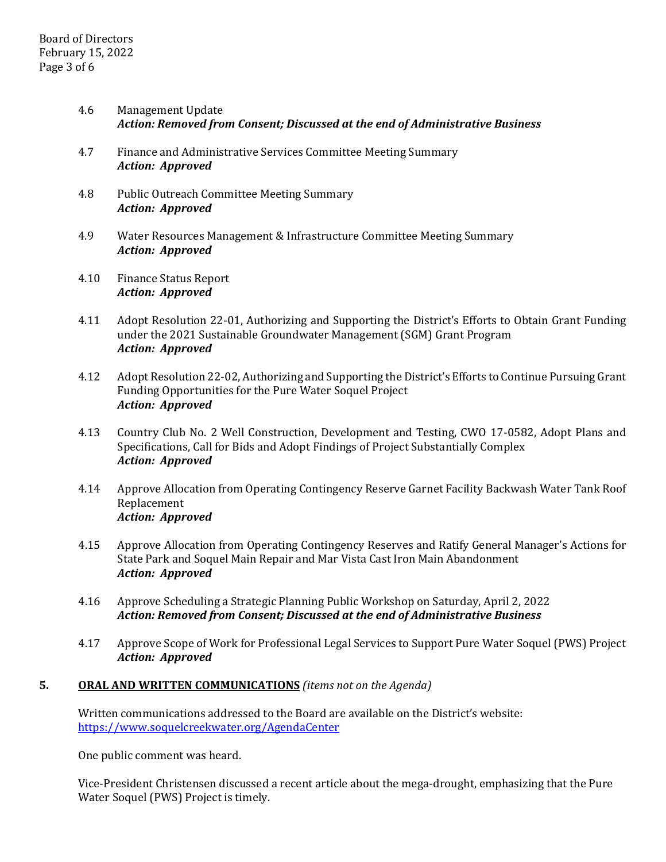- 4.6 Management Update *Action: Removed from Consent; Discussed at the end of Administrative Business*
- 4.7 Finance and Administrative Services Committee Meeting Summary *Action: Approved*
- 4.8 Public Outreach Committee Meeting Summary *Action: Approved*
- 4.9 Water Resources Management & Infrastructure Committee Meeting Summary *Action: Approved*
- 4.10 Finance Status Report *Action: Approved*
- 4.11 Adopt Resolution 22-01, Authorizing and Supporting the District's Efforts to Obtain Grant Funding under the 2021 Sustainable Groundwater Management (SGM) Grant Program *Action: Approved*
- 4.12 Adopt Resolution 22-02, Authorizing and Supporting the District's Efforts to Continue Pursuing Grant Funding Opportunities for the Pure Water Soquel Project *Action: Approved*
- 4.13 Country Club No. 2 Well Construction, Development and Testing, CWO 17-0582, Adopt Plans and Specifications, Call for Bids and Adopt Findings of Project Substantially Complex *Action: Approved*
- 4.14 Approve Allocation from Operating Contingency Reserve Garnet Facility Backwash Water Tank Roof Replacement *Action: Approved*
- 4.15 Approve Allocation from Operating Contingency Reserves and Ratify General Manager's Actions for State Park and Soquel Main Repair and Mar Vista Cast Iron Main Abandonment *Action: Approved*
- 4.16 Approve Scheduling a Strategic Planning Public Workshop on Saturday, April 2, 2022 *Action: Removed from Consent; Discussed at the end of Administrative Business*
- 4.17 Approve Scope of Work for Professional Legal Services to Support Pure Water Soquel (PWS) Project *Action: Approved*

# **5. ORAL AND WRITTEN COMMUNICATIONS** *(items not on the Agenda)*

Written communications addressed to the Board are available on the District's website: <https://www.soquelcreekwater.org/AgendaCenter>

One public comment was heard.

Vice-President Christensen discussed a recent article about the mega-drought, emphasizing that the Pure Water Soquel (PWS) Project is timely.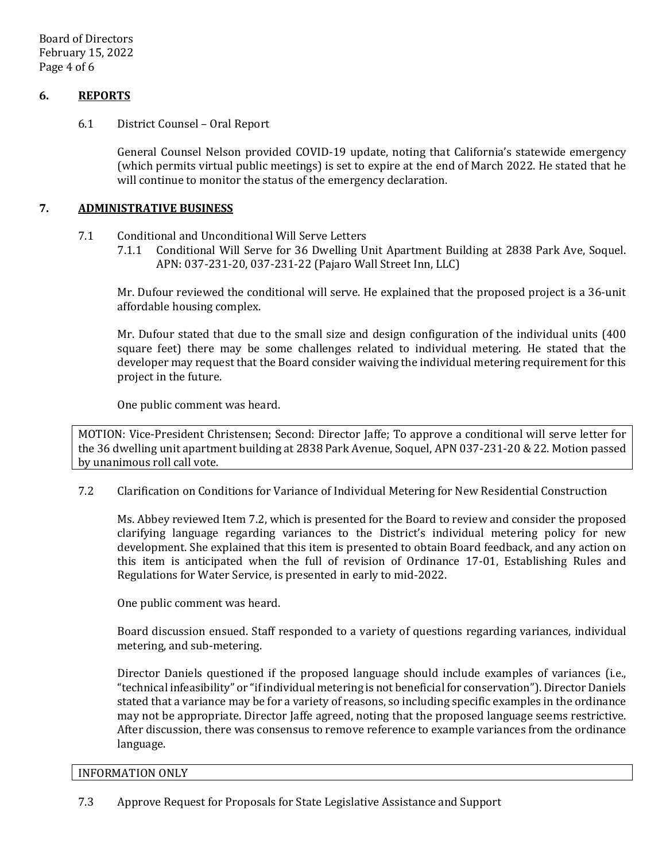Board of Directors February 15, 2022 Page 4 of 6

# **6. REPORTS**

6.1 District Counsel – Oral Report

General Counsel Nelson provided COVID-19 update, noting that California's statewide emergency (which permits virtual public meetings) is set to expire at the end of March 2022. He stated that he will continue to monitor the status of the emergency declaration.

### **7. ADMINISTRATIVE BUSINESS**

- 7.1 Conditional and Unconditional Will Serve Letters<br>7.1.1 Conditional Will Serve for 36 Dwelling II
	- 7.1.1 Conditional Will Serve for 36 Dwelling Unit Apartment Building at 2838 Park Ave, Soquel. APN: 037-231-20, 037-231-22 (Pajaro Wall Street Inn, LLC)

Mr. Dufour reviewed the conditional will serve. He explained that the proposed project is a 36-unit affordable housing complex.

Mr. Dufour stated that due to the small size and design configuration of the individual units (400 square feet) there may be some challenges related to individual metering. He stated that the developer may request that the Board consider waiving the individual metering requirement for this project in the future.

One public comment was heard.

MOTION: Vice-President Christensen; Second: Director Jaffe; To approve a conditional will serve letter for the 36 dwelling unit apartment building at 2838 Park Avenue, Soquel, APN 037-231-20 & 22. Motion passed by unanimous roll call vote.

7.2 Clarification on Conditions for Variance of Individual Metering for New Residential Construction

Ms. Abbey reviewed Item 7.2, which is presented for the Board to review and consider the proposed clarifying language regarding variances to the District's individual metering policy for new development. She explained that this item is presented to obtain Board feedback, and any action on this item is anticipated when the full of revision of Ordinance 17-01, Establishing Rules and Regulations for Water Service, is presented in early to mid-2022.

One public comment was heard.

Board discussion ensued. Staff responded to a variety of questions regarding variances, individual metering, and sub-metering.

Director Daniels questioned if the proposed language should include examples of variances (i.e., "technical infeasibility" or "if individual metering is not beneficial for conservation"). Director Daniels stated that a variance may be for a variety of reasons, so including specific examples in the ordinance may not be appropriate. Director Jaffe agreed, noting that the proposed language seems restrictive. After discussion, there was consensus to remove reference to example variances from the ordinance language.

#### INFORMATION ONLY

7.3 Approve Request for Proposals for State Legislative Assistance and Support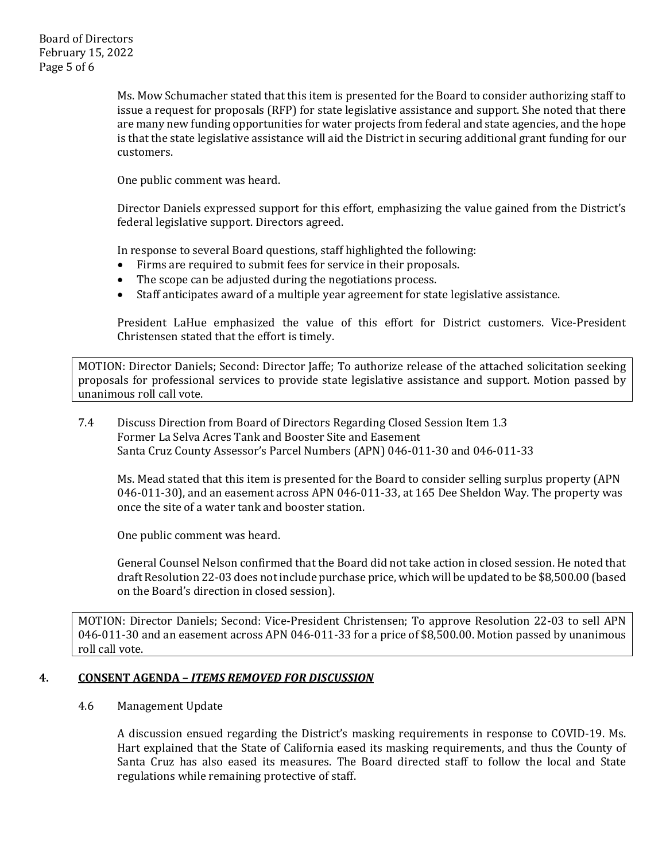Ms. Mow Schumacher stated that this item is presented for the Board to consider authorizing staff to issue a request for proposals (RFP) for state legislative assistance and support. She noted that there are many new funding opportunities for water projects from federal and state agencies, and the hope is that the state legislative assistance will aid the District in securing additional grant funding for our customers.

One public comment was heard.

Director Daniels expressed support for this effort, emphasizing the value gained from the District's federal legislative support. Directors agreed.

In response to several Board questions, staff highlighted the following:

- Firms are required to submit fees for service in their proposals.
- The scope can be adjusted during the negotiations process.<br>• Staff anticipates award of a multiple year agreement for sta
- Staff anticipates award of a multiple year agreement for state legislative assistance.

President LaHue emphasized the value of this effort for District customers. Vice-President Christensen stated that the effort is timely.

MOTION: Director Daniels; Second: Director Jaffe; To authorize release of the attached solicitation seeking proposals for professional services to provide state legislative assistance and support. Motion passed by unanimous roll call vote.

# 7.4 Discuss Direction from Board of Directors Regarding Closed Session Item 1.3 Former La Selva Acres Tank and Booster Site and Easement Santa Cruz County Assessor's Parcel Numbers (APN) 046-011-30 and 046-011-33

Ms. Mead stated that this item is presented for the Board to consider selling surplus property (APN 046-011-30), and an easement across APN 046-011-33, at 165 Dee Sheldon Way. The property was once the site of a water tank and booster station.

One public comment was heard.

General Counsel Nelson confirmed that the Board did not take action in closed session. He noted that draft Resolution 22-03 does not include purchase price, which will be updated to be \$8,500.00 (based on the Board's direction in closed session).

MOTION: Director Daniels; Second: Vice-President Christensen; To approve Resolution 22-03 to sell APN 046-011-30 and an easement across APN 046-011-33 for a price of \$8,500.00. Motion passed by unanimous roll call vote.

# **4. CONSENT AGENDA –** *ITEMS REMOVED FOR DISCUSSION*

## 4.6 Management Update

A discussion ensued regarding the District's masking requirements in response to COVID-19. Ms. Hart explained that the State of California eased its masking requirements, and thus the County of Santa Cruz has also eased its measures. The Board directed staff to follow the local and State regulations while remaining protective of staff.